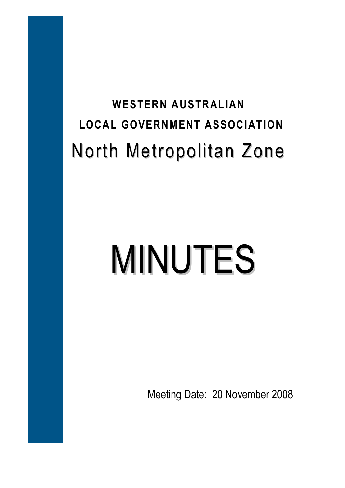## **WESTERN AUSTRALIAN LOCAL GOVERNMENT ASSOCIATION**  North Metropolitan Zone

# MINUTES

Meeting Date: 20 November 2008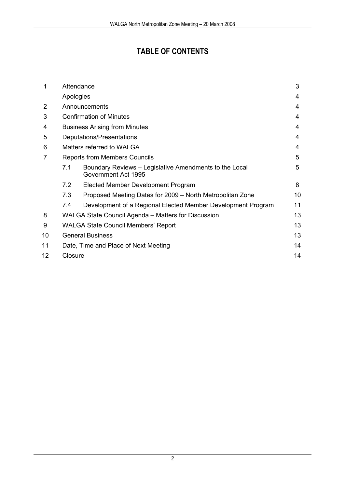### **TABLE OF CONTENTS**

| 1              | Attendance                                          |                                                                               |    |
|----------------|-----------------------------------------------------|-------------------------------------------------------------------------------|----|
|                | Apologies                                           |                                                                               | 4  |
| $\overline{2}$ | Announcements                                       |                                                                               |    |
| 3              | <b>Confirmation of Minutes</b>                      |                                                                               |    |
| 4              | <b>Business Arising from Minutes</b>                |                                                                               |    |
| 5              | Deputations/Presentations                           |                                                                               |    |
| 6              | Matters referred to WALGA                           |                                                                               |    |
| 7              | <b>Reports from Members Councils</b>                |                                                                               |    |
|                | 7.1                                                 | Boundary Reviews - Legislative Amendments to the Local<br>Government Act 1995 | 5  |
|                | 7.2                                                 | Elected Member Development Program                                            | 8  |
|                | 7.3                                                 | Proposed Meeting Dates for 2009 – North Metropolitan Zone                     | 10 |
|                | 7.4                                                 | Development of a Regional Elected Member Development Program                  | 11 |
| 8              | WALGA State Council Agenda - Matters for Discussion |                                                                               | 13 |
| 9              | <b>WALGA State Council Members' Report</b>          |                                                                               | 13 |
| 10             | <b>General Business</b>                             |                                                                               | 13 |
| 11             | Date, Time and Place of Next Meeting                |                                                                               |    |
| 12             | Closure                                             |                                                                               |    |
|                |                                                     |                                                                               |    |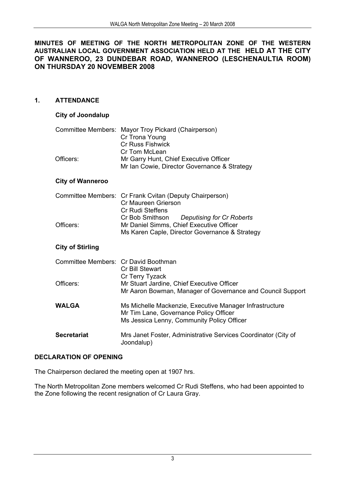### **MINUTES OF MEETING OF THE NORTH METROPOLITAN ZONE OF THE WESTERN AUSTRALIAN LOCAL GOVERNMENT ASSOCIATION HELD AT THE HELD AT THE CITY OF WANNEROO, 23 DUNDEBAR ROAD, WANNEROO (LESCHENAULTIA ROOM) ON THURSDAY 20 NOVEMBER 2008**

### **1. ATTENDANCE**

### **City of Joondalup**

|           | Committee Members: Mayor Troy Pickard (Chairperson) |  |
|-----------|-----------------------------------------------------|--|
|           | Cr Trona Young                                      |  |
|           | <b>Cr Russ Fishwick</b>                             |  |
|           | Cr Tom McLean                                       |  |
| Officers: | Mr Garry Hunt, Chief Executive Officer              |  |
|           | Mr Ian Cowie, Director Governance & Strategy        |  |

### **City of Wanneroo**

|           | Committee Members: Cr Frank Cvitan (Deputy Chairperson) |  |  |
|-----------|---------------------------------------------------------|--|--|
|           | Cr Maureen Grierson                                     |  |  |
|           | <b>Cr Rudi Steffens</b>                                 |  |  |
|           | Cr Bob Smithson Deputising for Cr Roberts               |  |  |
| Officers: | Mr Daniel Simms, Chief Executive Officer                |  |  |
|           | Ms Karen Caple, Director Governance & Strategy          |  |  |

### **City of Stirling**

| Committee Members: Cr David Boothman | Cr Bill Stewart                                                                                                                                 |
|--------------------------------------|-------------------------------------------------------------------------------------------------------------------------------------------------|
| Officers:                            | Cr Terry Tyzack<br>Mr Stuart Jardine, Chief Executive Officer<br>Mr Aaron Bowman, Manager of Governance and Council Support                     |
| WALGA                                | Ms Michelle Mackenzie, Executive Manager Infrastructure<br>Mr Tim Lane, Governance Policy Officer<br>Ms Jessica Lenny, Community Policy Officer |
| <b>Secretariat</b>                   | Mrs Janet Foster, Administrative Services Coordinator (City of<br>Joondalup)                                                                    |

### **DECLARATION OF OPENING**

The Chairperson declared the meeting open at 1907 hrs.

The North Metropolitan Zone members welcomed Cr Rudi Steffens, who had been appointed to the Zone following the recent resignation of Cr Laura Gray.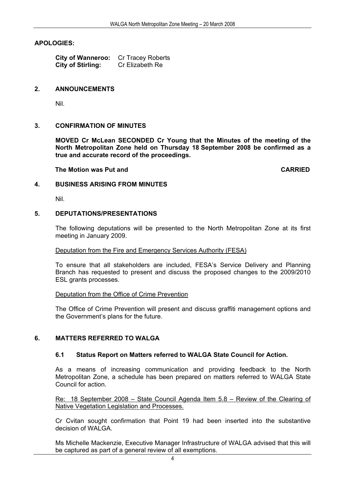### **APOLOGIES:**

 **City of Wanneroo:** Cr Tracey Roberts **City of Stirling:** Cr Elizabeth Re

### **2. ANNOUNCEMENTS**

Nil.

### **3. CONFIRMATION OF MINUTES**

**MOVED Cr McLean SECONDED Cr Young that the Minutes of the meeting of the North Metropolitan Zone held on Thursday 18 September 2008 be confirmed as a true and accurate record of the proceedings.** 

**The Motion was Put and CARRIED CARRIED** 

### **4. BUSINESS ARISING FROM MINUTES**

Nil.

### **5. DEPUTATIONS/PRESENTATIONS**

The following deputations will be presented to the North Metropolitan Zone at its first meeting in January 2009.

### Deputation from the Fire and Emergency Services Authority (FESA)

To ensure that all stakeholders are included, FESA's Service Delivery and Planning Branch has requested to present and discuss the proposed changes to the 2009/2010 ESL grants processes.

### Deputation from the Office of Crime Prevention

The Office of Crime Prevention will present and discuss graffiti management options and the Government's plans for the future.

### **6. MATTERS REFERRED TO WALGA**

### **6.1 Status Report on Matters referred to WALGA State Council for Action.**

As a means of increasing communication and providing feedback to the North Metropolitan Zone, a schedule has been prepared on matters referred to WALGA State Council for action.

Re: 18 September 2008 – State Council Agenda Item 5.8 – Review of the Clearing of Native Vegetation Legislation and Processes.

Cr Cvitan sought confirmation that Point 19 had been inserted into the substantive decision of WALGA.

Ms Michelle Mackenzie, Executive Manager Infrastructure of WALGA advised that this will be captured as part of a general review of all exemptions.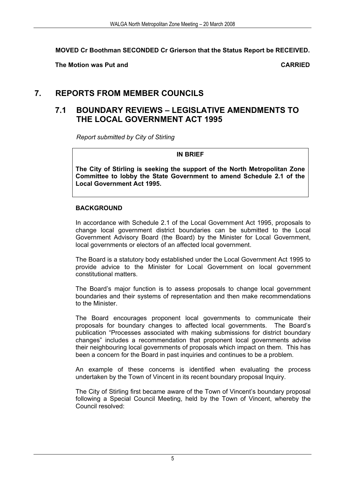**MOVED Cr Boothman SECONDED Cr Grierson that the Status Report be RECEIVED.** 

**The Motion was Put and CARRIED** 

### **7. REPORTS FROM MEMBER COUNCILS**

### **7.1 BOUNDARY REVIEWS – LEGISLATIVE AMENDMENTS TO THE LOCAL GOVERNMENT ACT 1995**

*Report submitted by City of Stirling* 

### **IN BRIEF**

**The City of Stirling is seeking the support of the North Metropolitan Zone Committee to lobby the State Government to amend Schedule 2.1 of the Local Government Act 1995.** 

### **BACKGROUND**

In accordance with Schedule 2.1 of the Local Government Act 1995, proposals to change local government district boundaries can be submitted to the Local Government Advisory Board (the Board) by the Minister for Local Government, local governments or electors of an affected local government.

The Board is a statutory body established under the Local Government Act 1995 to provide advice to the Minister for Local Government on local government constitutional matters.

The Board's major function is to assess proposals to change local government boundaries and their systems of representation and then make recommendations to the Minister.

The Board encourages proponent local governments to communicate their proposals for boundary changes to affected local governments. The Board's publication "Processes associated with making submissions for district boundary changes" includes a recommendation that proponent local governments advise their neighbouring local governments of proposals which impact on them. This has been a concern for the Board in past inquiries and continues to be a problem.

An example of these concerns is identified when evaluating the process undertaken by the Town of Vincent in its recent boundary proposal Inquiry.

The City of Stirling first became aware of the Town of Vincent's boundary proposal following a Special Council Meeting, held by the Town of Vincent, whereby the Council resolved: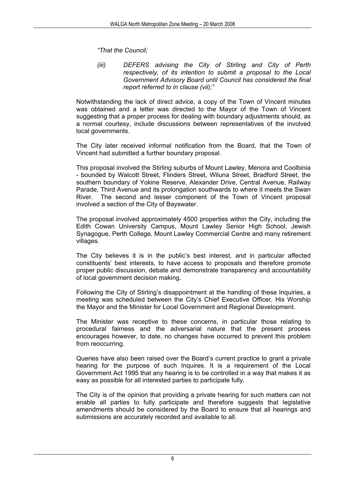*"That the Council;* 

*(iii) DEFERS advising the City of Stirling and City of Perth respectively, of its intention to submit a proposal to the Local Government Advisory Board until Council has considered the final report referred to in clause (vii);"* 

Notwithstanding the lack of direct advice, a copy of the Town of Vincent minutes was obtained and a letter was directed to the Mayor of the Town of Vincent suggesting that a proper process for dealing with boundary adjustments should, as a normal courtesy, include discussions between representatives of the involved local governments.

The City later received informal notification from the Board, that the Town of Vincent had submitted a further boundary proposal.

This proposal involved the Stirling suburbs of Mount Lawley, Menora and Coolbinia - bounded by Walcott Street, Flinders Street, Wiluna Street, Bradford Street, the southern boundary of Yokine Reserve, Alexander Drive, Central Avenue, Railway Parade, Third Avenue and its prolongation southwards to where it meets the Swan River*.* The second and lesser component of the Town of Vincent proposal involved a section of the City of Bayswater.

The proposal involved approximately 4500 properties within the City, including the Edith Cowan University Campus, Mount Lawley Senior High School, Jewish Synagogue, Perth College, Mount Lawley Commercial Centre and many retirement villages.

The City believes it is in the public's best interest, and in particular affected constituents' best interests, to have access to proposals and therefore promote proper public discussion, debate and demonstrate transparency and accountability of local government decision making.

Following the City of Stirling's disappointment at the handling of these Inquiries, a meeting was scheduled between the City's Chief Executive Officer, His Worship the Mayor and the Minister for Local Government and Regional Development.

The Minister was receptive to these concerns, in particular those relating to procedural fairness and the adversarial nature that the present process encourages however, to date, no changes have occurred to prevent this problem from reoccurring.

Queries have also been raised over the Board's current practice to grant a private hearing for the purpose of such Inquires. It is a requirement of the Local Government Act 1995 that any hearing is to be controlled in a way that makes it as easy as possible for all interested parties to participate fully.

The City is of the opinion that providing a private hearing for such matters can not enable all parties to fully participate and therefore suggests that legislative amendments should be considered by the Board to ensure that all hearings and submissions are accurately recorded and available to all.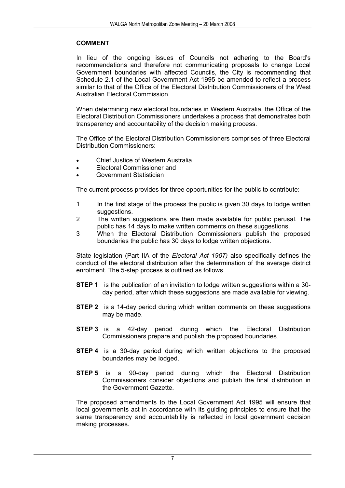### **COMMENT**

In lieu of the ongoing issues of Councils not adhering to the Board's recommendations and therefore not communicating proposals to change Local Government boundaries with affected Councils, the City is recommending that Schedule 2.1 of the Local Government Act 1995 be amended to reflect a process similar to that of the Office of the Electoral Distribution Commissioners of the West Australian Electoral Commission.

When determining new electoral boundaries in Western Australia, the Office of the Electoral Distribution Commissioners undertakes a process that demonstrates both transparency and accountability of the decision making process.

The Office of the Electoral Distribution Commissioners comprises of three Electoral Distribution Commissioners:

- Chief Justice of Western Australia
- Electoral Commissioner and
- Government Statistician

The current process provides for three opportunities for the public to contribute:

- 1 In the first stage of the process the public is given 30 days to lodge written suggestions.
- 2 The written suggestions are then made available for public perusal. The public has 14 days to make written comments on these suggestions.
- 3 When the Electoral Distribution Commissioners publish the proposed boundaries the public has 30 days to lodge written objections.

State legislation (Part IIA of the *Electoral Act 1907)* also specifically defines the conduct of the electoral distribution after the determination of the average district enrolment. The 5-step process is outlined as follows.

- **STEP 1** is the publication of an invitation to lodge written suggestions within a 30 day period, after which these suggestions are made available for viewing.
- **STEP 2** is a 14-day period during which written comments on these suggestions may be made.
- **STEP 3** is a 42-day period during which the Electoral Distribution Commissioners prepare and publish the proposed boundaries.
- **STEP 4** is a 30-day period during which written objections to the proposed boundaries may be lodged.
- **STEP 5** is a 90-day period during which the Electoral Distribution Commissioners consider objections and publish the final distribution in the Government Gazette.

The proposed amendments to the Local Government Act 1995 will ensure that local governments act in accordance with its guiding principles to ensure that the same transparency and accountability is reflected in local government decision making processes.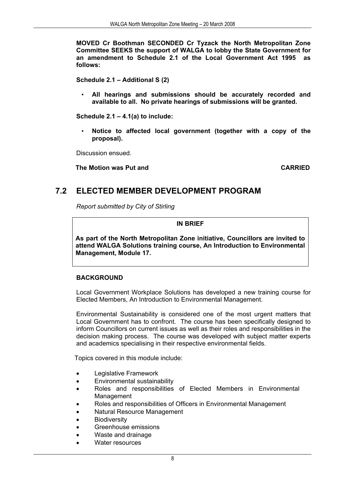**MOVED Cr Boothman SECONDED Cr Tyzack the North Metropolitan Zone Committee SEEKS the support of WALGA to lobby the State Government for an amendment to Schedule 2.1 of the Local Government Act 1995 as follows:** 

**Schedule 2.1 – Additional S (2)** 

• **All hearings and submissions should be accurately recorded and available to all. No private hearings of submissions will be granted.** 

**Schedule 2.1 – 4.1(a) to include:** 

• **Notice to affected local government (together with a copy of the proposal).** 

Discussion ensued.

 **The Motion was Put and CARRIED** 

### **7.2 ELECTED MEMBER DEVELOPMENT PROGRAM**

*Report submitted by City of Stirling* 

**IN BRIEF** 

**As part of the North Metropolitan Zone initiative, Councillors are invited to attend WALGA Solutions training course, An Introduction to Environmental Management, Module 17.** 

### **BACKGROUND**

Local Government Workplace Solutions has developed a new training course for Elected Members, An Introduction to Environmental Management.

Environmental Sustainability is considered one of the most urgent matters that Local Government has to confront. The course has been specifically designed to inform Councillors on current issues as well as their roles and responsibilities in the decision making process. The course was developed with subject matter experts and academics specialising in their respective environmental fields.

Topics covered in this module include:

- Legislative Framework
- Environmental sustainability
- Roles and responsibilities of Elected Members in Environmental Management
- Roles and responsibilities of Officers in Environmental Management
- Natural Resource Management
- **Biodiversity**
- Greenhouse emissions
	- Waste and drainage
- Water resources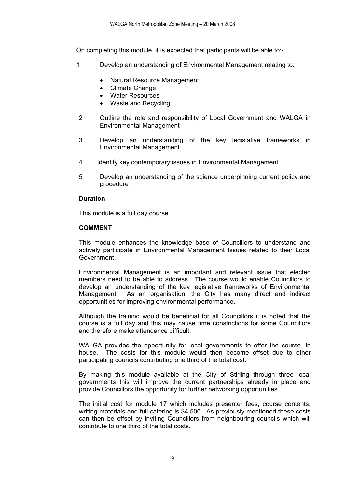On completing this module, it is expected that participants will be able to:-

- 1 Develop an understanding of Environmental Management relating to:
	- Natural Resource Management
	- Climate Change
	- Water Resources
	- Waste and Recycling
- 2 Outline the role and responsibility of Local Government and WALGA in Environmental Management
- 3 Develop an understanding of the key legislative frameworks in Environmental Management
- 4 Identify key contemporary issues in Environmental Management
- 5 Develop an understanding of the science underpinning current policy and procedure

### **Duration**

This module is a full day course.

### **COMMENT**

This module enhances the knowledge base of Councillors to understand and actively participate in Environmental Management Issues related to their Local Government.

Environmental Management is an important and relevant issue that elected members need to be able to address. The course would enable Councillors to develop an understanding of the key legislative frameworks of Environmental Management. As an organisation, the City has many direct and indirect opportunities for improving environmental performance.

Although the training would be beneficial for all Councillors it is noted that the course is a full day and this may cause time constrictions for some Councillors and therefore make attendance difficult.

WALGA provides the opportunity for local governments to offer the course, in house. The costs for this module would then become offset due to other participating councils contributing one third of the total cost.

By making this module available at the City of Stirling through three local governments this will improve the current partnerships already in place and provide Councillors the opportunity for further networking opportunities.

The initial cost for module 17 which includes presenter fees, course contents, writing materials and full catering is \$4,500. As previously mentioned these costs can then be offset by inviting Councillors from neighbouring councils which will contribute to one third of the total costs.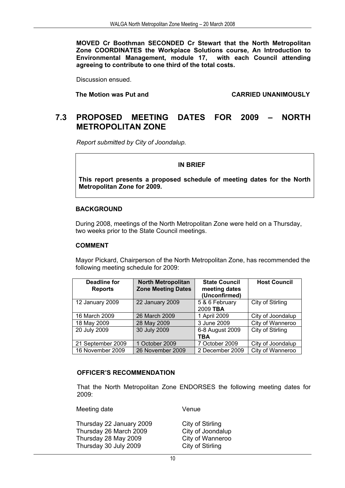**MOVED Cr Boothman SECONDED Cr Stewart that the North Metropolitan Zone COORDINATES the Workplace Solutions course, An Introduction to Environmental Management, module 17, with each Council attending agreeing to contribute to one third of the total costs.** 

Discussion ensued.

 **The Motion was Put and CARRIED UNANIMOUSLY** 

### **7.3 PROPOSED MEETING DATES FOR 2009 – NORTH METROPOLITAN ZONE**

*Report submitted by City of Joondalup.* 

### **IN BRIEF**

**This report presents a proposed schedule of meeting dates for the North Metropolitan Zone for 2009.** 

### **BACKGROUND**

During 2008, meetings of the North Metropolitan Zone were held on a Thursday, two weeks prior to the State Council meetings.

### **COMMENT**

Mayor Pickard, Chairperson of the North Metropolitan Zone, has recommended the following meeting schedule for 2009:

| Deadline for<br><b>Reports</b> | <b>North Metropolitan</b><br><b>Zone Meeting Dates</b> | <b>State Council</b><br>meeting dates<br>(Unconfirmed) | <b>Host Council</b> |
|--------------------------------|--------------------------------------------------------|--------------------------------------------------------|---------------------|
| 12 January 2009                | 22 January 2009                                        | 5 & 6 February<br>2009 TBA                             | City of Stirling    |
| 16 March 2009                  | 26 March 2009                                          | 1 April 2009                                           | City of Joondalup   |
| 18 May 2009                    | 28 May 2009                                            | 3 June 2009                                            | City of Wanneroo    |
| 20 July 2009                   | 30 July 2009                                           | 6-8 August 2009<br>TBA                                 | City of Stirling    |
| 21 September 2009              | 1 October 2009                                         | 7 October 2009                                         | City of Joondalup   |
| 16 November 2009               | 26 November 2009                                       | 2 December 2009                                        | City of Wanneroo    |

### **OFFICER'S RECOMMENDATION**

That the North Metropolitan Zone ENDORSES the following meeting dates for 2009:

Meeting date Venue

Thursday 22 January 2009 City of Stirling Thursday 26 March 2009 City of Joondalup<br>Thursday 28 May 2009 City of Wanneroo Thursday 28 May 2009 Thursday 30 July 2009 City of Stirling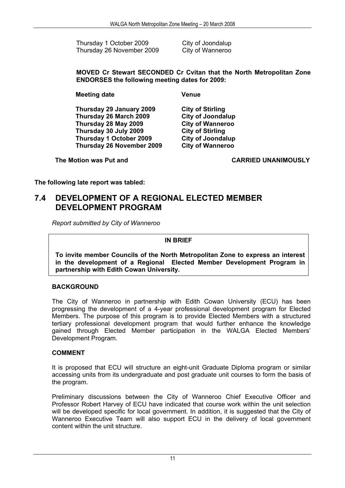Thursday 1 October 2009 City of Joondalup Thursday 26 November 2009 City of Wanneroo

**MOVED Cr Stewart SECONDED Cr Cvitan that the North Metropolitan Zone ENDORSES the following meeting dates for 2009:** 

**Meeting date Venue** 

**Thursday 29 January 2009 City of Stirling Thursday 26 March 2009 City of Joondalup Thursday 28 May 2009 City of Wanneroo Thursday 30 July 2009 City of Stirling Thursday 1 October 2009 City of Joondalup Thursday 26 November 2009** 

**The Motion was Put and CARRIED UNANIMOUSLY** 

**The following late report was tabled:** 

### **7.4 DEVELOPMENT OF A REGIONAL ELECTED MEMBER DEVELOPMENT PROGRAM**

*Report submitted by City of Wanneroo* 

### **IN BRIEF**

 **To invite member Councils of the North Metropolitan Zone to express an interest in the development of a Regional Elected Member Development Program in partnership with Edith Cowan University.**

### **BACKGROUND**

The City of Wanneroo in partnership with Edith Cowan University (ECU) has been progressing the development of a 4-year professional development program for Elected Members. The purpose of this program is to provide Elected Members with a structured tertiary professional development program that would further enhance the knowledge gained through Elected Member participation in the WALGA Elected Members' Development Program.

### **COMMENT**

It is proposed that ECU will structure an eight-unit Graduate Diploma program or similar accessing units from its undergraduate and post graduate unit courses to form the basis of the program.

Preliminary discussions between the City of Wanneroo Chief Executive Officer and Professor Robert Harvey of ECU have indicated that course work within the unit selection will be developed specific for local government. In addition, it is suggested that the City of Wanneroo Executive Team will also support ECU in the delivery of local government content within the unit structure.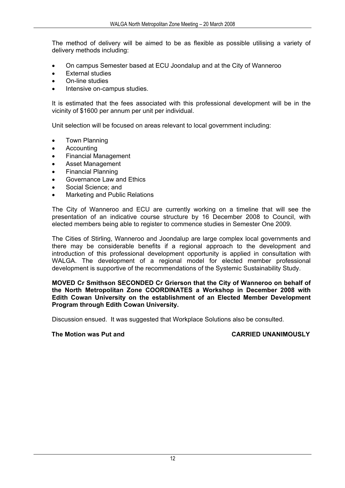The method of delivery will be aimed to be as flexible as possible utilising a variety of delivery methods including:

- On campus Semester based at ECU Joondalup and at the City of Wanneroo
- **External studies**
- On-line studies
- Intensive on-campus studies.

It is estimated that the fees associated with this professional development will be in the vicinity of \$1600 per annum per unit per individual.

Unit selection will be focused on areas relevant to local government including:

- Town Planning
- Accounting
- Financial Management
- Asset Management
- Financial Planning
- Governance Law and Ethics
- Social Science; and
- Marketing and Public Relations

The City of Wanneroo and ECU are currently working on a timeline that will see the presentation of an indicative course structure by 16 December 2008 to Council, with elected members being able to register to commence studies in Semester One 2009.

The Cities of Stirling, Wanneroo and Joondalup are large complex local governments and there may be considerable benefits if a regional approach to the development and introduction of this professional development opportunity is applied in consultation with WALGA. The development of a regional model for elected member professional development is supportive of the recommendations of the Systemic Sustainability Study.

**MOVED Cr Smithson SECONDED Cr Grierson that the City of Wanneroo on behalf of the North Metropolitan Zone COORDINATES a Workshop in December 2008 with Edith Cowan University on the establishment of an Elected Member Development Program through Edith Cowan University.** 

Discussion ensued. It was suggested that Workplace Solutions also be consulted.

**The Motion was Put and CARRIED UNANIMOUSLY**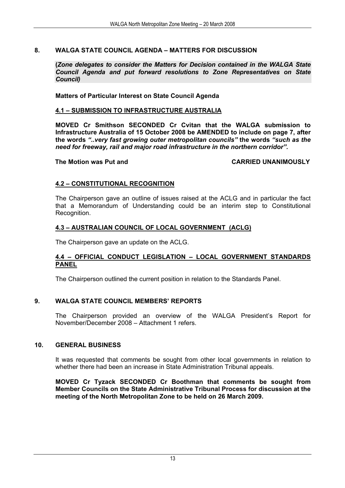### **8. WALGA STATE COUNCIL AGENDA – MATTERS FOR DISCUSSION**

**(***Zone delegates to consider the Matters for Decision contained in the WALGA State Council Agenda and put forward resolutions to Zone Representatives on State Council)*

### **Matters of Particular Interest on State Council Agenda**

### **4.1 – SUBMISSION TO INFRASTRUCTURE AUSTRALIA**

**MOVED Cr Smithson SECONDED Cr Cvitan that the WALGA submission to Infrastructure Australia of 15 October 2008 be AMENDED to include on page 7, after the words** *"..very fast growing outer metropolitan councils"* **the words** *"such as the need for freeway, rail and major road infrastructure in the northern corridor".* 

### **The Motion was Put and CARRIED UNANIMOUSLY**

### **4.2 – CONSTITUTIONAL RECOGNITION**

The Chairperson gave an outline of issues raised at the ACLG and in particular the fact that a Memorandum of Understanding could be an interim step to Constitutional Recognition.

### **4.3 – AUSTRALIAN COUNCIL OF LOCAL GOVERNMENT (ACLG)**

The Chairperson gave an update on the ACLG.

### **4.4 – OFFICIAL CONDUCT LEGISLATION – LOCAL GOVERNMENT STANDARDS PANEL**

The Chairperson outlined the current position in relation to the Standards Panel.

### **9. WALGA STATE COUNCIL MEMBERS' REPORTS**

The Chairperson provided an overview of the WALGA President's Report for November/December 2008 – Attachment 1 refers.

### **10. GENERAL BUSINESS**

It was requested that comments be sought from other local governments in relation to whether there had been an increase in State Administration Tribunal appeals.

**MOVED Cr Tyzack SECONDED Cr Boothman that comments be sought from Member Councils on the State Administrative Tribunal Process for discussion at the meeting of the North Metropolitan Zone to be held on 26 March 2009.**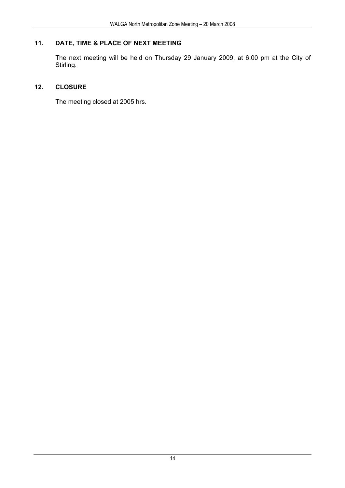### **11. DATE, TIME & PLACE OF NEXT MEETING**

The next meeting will be held on Thursday 29 January 2009, at 6.00 pm at the City of Stirling.

### **12. CLOSURE**

The meeting closed at 2005 hrs.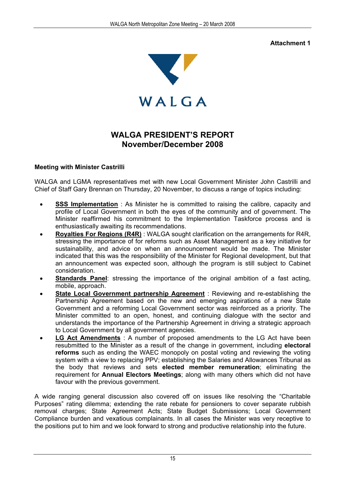### **Attachment 1**



### **WALGA PRESIDENT'S REPORT November/December 2008**

### **Meeting with Minister Castrilli**

WALGA and LGMA representatives met with new Local Government Minister John Castrilli and Chief of Staff Gary Brennan on Thursday, 20 November, to discuss a range of topics including:

- **SSS Implementation** : As Minister he is committed to raising the calibre, capacity and profile of Local Government in both the eyes of the community and of government. The Minister reaffirmed his commitment to the Implementation Taskforce process and is enthusiastically awaiting its recommendations.
- **Royalties For Regions (R4R)** : WALGA sought clarification on the arrangements for R4R, stressing the importance of for reforms such as Asset Management as a key initiative for sustainability, and advice on when an announcement would be made. The Minister indicated that this was the responsibility of the Minister for Regional development, but that an announcement was expected soon, although the program is still subject to Cabinet consideration.
- **Standards Panel:** stressing the importance of the original ambition of a fast acting, mobile, approach.
- **State Local Government partnership Agreement** : Reviewing and re-establishing the Partnership Agreement based on the new and emerging aspirations of a new State Government and a reforming Local Government sector was reinforced as a priority. The Minister committed to an open, honest, and continuing dialogue with the sector and understands the importance of the Partnership Agreement in driving a strategic approach to Local Government by all government agencies.
- **LG Act Amendments** : A number of proposed amendments to the LG Act have been resubmitted to the Minister as a result of the change in government, including **electoral reforms** such as ending the WAEC monopoly on postal voting and reviewing the voting system with a view to replacing PPV; establishing the Salaries and Allowances Tribunal as the body that reviews and sets **elected member remuneration**; eliminating the requirement for **Annual Electors Meetings**; along with many others which did not have favour with the previous government.

A wide ranging general discussion also covered off on issues like resolving the "Charitable Purposes" rating dilemma; extending the rate rebate for pensioners to cover separate rubbish removal charges; State Agreement Acts; State Budget Submissions; Local Government Compliance burden and vexatious complainants. In all cases the Minister was very receptive to the positions put to him and we look forward to strong and productive relationship into the future.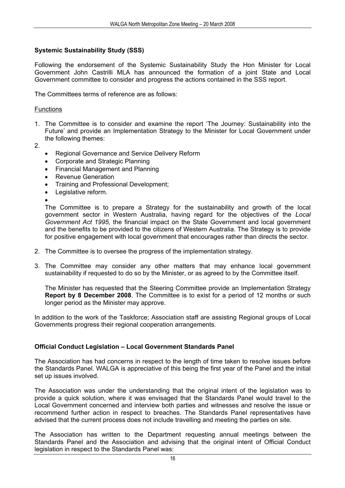### **Systemic Sustainability Study (SSS)**

Following the endorsement of the Systemic Sustainability Study the Hon Minister for Local Government John Castrilli MLA has announced the formation of a joint State and Local Government committee to consider and progress the actions contained in the SSS report.

The Committees terms of reference are as follows:

### **Functions**

- 1. The Committee is to consider and examine the report 'The Journey: Sustainability into the Future' and provide an Implementation Strategy to the Minister for Local Government under the following themes:
- 2.
- Regional Governance and Service Delivery Reform
- Corporate and Strategic Planning
- Financial Management and Planning
- Revenue Generation
- Training and Professional Development;
- Legislative reform.
- •

The Committee is to prepare a Strategy for the sustainability and growth of the local government sector in Western Australia, having regard for the objectives of the *Local Government Act 1995,* the financial impact on the State Government and local government and the benefits to be provided to the citizens of Western Australia. The Strategy is to provide for positive engagement with local government that encourages rather than directs the sector.

- 2. The Committee is to oversee the progress of the implementation strategy.
- 3. The Committee may consider any other matters that may enhance local government sustainability if requested to do so by the Minister, or as agreed to by the Committee itself.

The Minister has requested that the Steering Committee provide an Implementation Strategy **Report by 8 December 2008**. The Committee is to exist for a period of 12 months or such longer period as the Minister may approve.

In addition to the work of the Taskforce; Association staff are assisting Regional groups of Local Governments progress their regional cooperation arrangements.

### **Official Conduct Legislation – Local Government Standards Panel**

The Association has had concerns in respect to the length of time taken to resolve issues before the Standards Panel. WALGA is appreciative of this being the first year of the Panel and the initial set up issues involved.

The Association was under the understanding that the original intent of the legislation was to provide a quick solution, where it was envisaged that the Standards Panel would travel to the Local Government concerned and interview both parties and witnesses and resolve the issue or recommend further action in respect to breaches. The Standards Panel representatives have advised that the current process does not include travelling and meeting the parties on site.

The Association has written to the Department requesting annual meetings between the Standards Panel and the Association and advising that the original intent of Official Conduct legislation in respect to the Standards Panel was: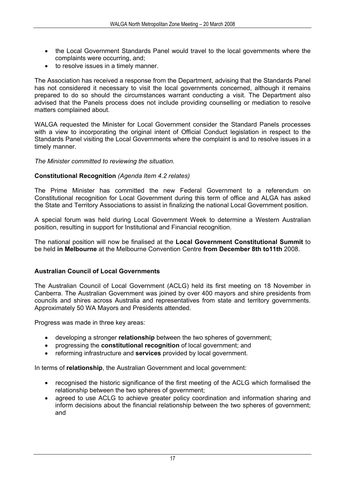- the Local Government Standards Panel would travel to the local governments where the complaints were occurring, and;
- to resolve issues in a timely manner.

The Association has received a response from the Department, advising that the Standards Panel has not considered it necessary to visit the local governments concerned, although it remains prepared to do so should the circumstances warrant conducting a visit. The Department also advised that the Panels process does not include providing counselling or mediation to resolve matters complained about.

WALGA requested the Minister for Local Government consider the Standard Panels processes with a view to incorporating the original intent of Official Conduct legislation in respect to the Standards Panel visiting the Local Governments where the complaint is and to resolve issues in a timely manner.

### *The Minister committed to reviewing the situation.*

### **Constitutional Recognition** *(Agenda Item 4.2 relates)*

The Prime Minister has committed the new Federal Government to a referendum on Constitutional recognition for Local Government during this term of office and ALGA has asked the State and Territory Associations to assist in finalizing the national Local Government position.

A special forum was held during Local Government Week to determine a Western Australian position, resulting in support for Institutional and Financial recognition.

The national position will now be finalised at the **Local Government Constitutional Summit** to be held **in Melbourne** at the Melbourne Convention Centre **from December 8th to11th** 2008.

### **Australian Council of Local Governments**

The Australian Council of Local Government (ACLG) held its first meeting on 18 November in Canberra. The Australian Government was joined by over 400 mayors and shire presidents from councils and shires across Australia and representatives from state and territory governments. Approximately 50 WA Mayors and Presidents attended.

Progress was made in three key areas:

- developing a stronger **relationship** between the two spheres of government;
- progressing the **constitutional recognition** of local government; and
- reforming infrastructure and **services** provided by local government.

In terms of **relationship**, the Australian Government and local government:

- recognised the historic significance of the first meeting of the ACLG which formalised the relationship between the two spheres of government;
- agreed to use ACLG to achieve greater policy coordination and information sharing and inform decisions about the financial relationship between the two spheres of government; and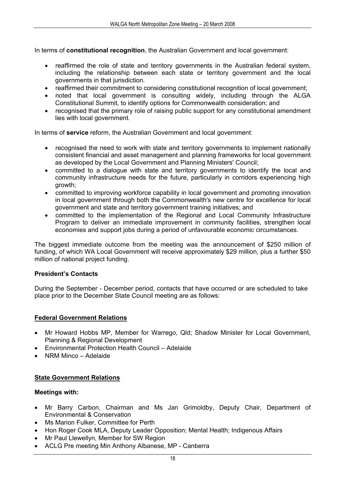In terms of **constitutional recognition**, the Australian Government and local government:

- reaffirmed the role of state and territory governments in the Australian federal system, including the relationship between each state or territory government and the local governments in that jurisdiction.
- reaffirmed their commitment to considering constitutional recognition of local government;
- noted that local government is consulting widely, including through the ALGA Constitutional Summit, to identify options for Commonwealth consideration; and
- recognised that the primary role of raising public support for any constitutional amendment lies with local government.

In terms of **service** reform, the Australian Government and local government:

- recognised the need to work with state and territory governments to implement nationally consistent financial and asset management and planning frameworks for local government as developed by the Local Government and Planning Ministers' Council;
- committed to a dialogue with state and territory governments to identify the local and community infrastructure needs for the future, particularly in corridors experiencing high growth;
- committed to improving workforce capability in local government and promoting innovation in local government through both the Commonwealth's new centre for excellence for local government and state and territory government training initiatives; and
- committed to the implementation of the Regional and Local Community Infrastructure Program to deliver an immediate improvement in community facilities, strengthen local economies and support jobs during a period of unfavourable economic circumstances.

The biggest immediate outcome from the meeting was the announcement of \$250 million of funding, of which WA Local Government will receive approximately \$29 million, plus a further \$50 million of national project funding.

### **President's Contacts**

During the September - December period, contacts that have occurred or are scheduled to take place prior to the December State Council meeting are as follows:

### **Federal Government Relations**

- Mr Howard Hobbs MP, Member for Warrego, Qld; Shadow Minister for Local Government, Planning & Regional Development
- Environmental Protection Health Council Adelaide
- NRM Minco Adelaide

### **State Government Relations**

### **Meetings with:**

- Mr Barry Carbon, Chairman and Ms Jan Grimoldby, Deputy Chair, Department of Environmental & Conservation
- Ms Marion Fulker, Committee for Perth
- Hon Roger Cook MLA, Deputy Leader Opposition: Mental Health: Indigenous Affairs
- Mr Paul Llewellyn, Member for SW Region
- ACLG Pre meeting Min Anthony Albanese, MP Canberra